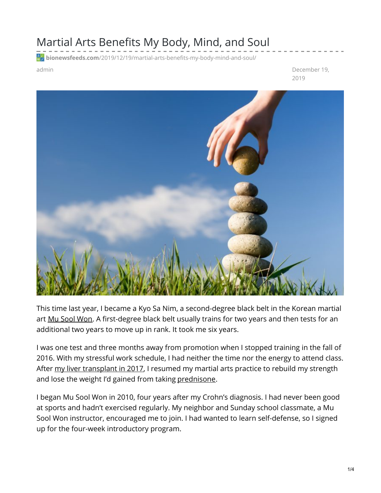## Martial Arts Benefits My Body, Mind, and Soul

**bionewsfeeds.com**[/2019/12/19/martial-arts-benefits-my-body-mind-and-soul/](https://bionewsfeeds.com/2019/12/19/martial-arts-benefits-my-body-mind-and-soul/)

admin December 19, 2019



This time last year, I became a Kyo Sa Nim, a second-degree black belt in the Korean martial art Mu Sool [Won](http://www.musoolwon.com/). A first-degree black belt usually trains for two years and then tests for an additional two years to move up in rank. It took me six years.

I was one test and three months away from promotion when I stopped training in the fall of 2016. With my stressful work schedule, I had neither the time nor the energy to attend class. After my liver [transplant](https://ibdnewstoday.com/2019/09/12/transplant-liver-donor/) in 2017, I resumed my martial arts practice to rebuild my strength and lose the weight I'd gained from taking [prednisone](https://medlineplus.gov/druginfo/meds/a601102.html).

I began Mu Sool Won in 2010, four years after my Crohn's diagnosis. I had never been good at sports and hadn't exercised regularly. My neighbor and Sunday school classmate, a Mu Sool Won instructor, encouraged me to join. I had wanted to learn self-defense, so I signed up for the four-week introductory program.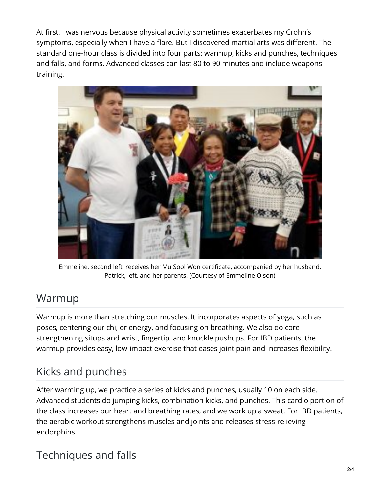At first, I was nervous because physical activity sometimes exacerbates my Crohn's symptoms, especially when I have a flare. But I discovered martial arts was different. The standard one-hour class is divided into four parts: warmup, kicks and punches, techniques and falls, and forms. Advanced classes can last 80 to 90 minutes and include weapons training.



Emmeline, second left, receives her Mu Sool Won certificate, accompanied by her husband, Patrick, left, and her parents. (Courtesy of Emmeline Olson)

#### Warmup

Warmup is more than stretching our muscles. It incorporates aspects of yoga, such as poses, centering our chi, or energy, and focusing on breathing. We also do corestrengthening situps and wrist, fingertip, and knuckle pushups. For IBD patients, the warmup provides easy, low-impact exercise that eases joint pain and increases flexibility.

# Kicks and punches

After warming up, we practice a series of kicks and punches, usually 10 on each side. Advanced students do jumping kicks, combination kicks, and punches. This cardio portion of the class increases our heart and breathing rates, and we work up a sweat. For IBD patients, the aerobic [workout](https://diet.mayoclinic.org/diet/move/cardio-101) strengthens muscles and joints and releases stress-relieving endorphins.

### Techniques and falls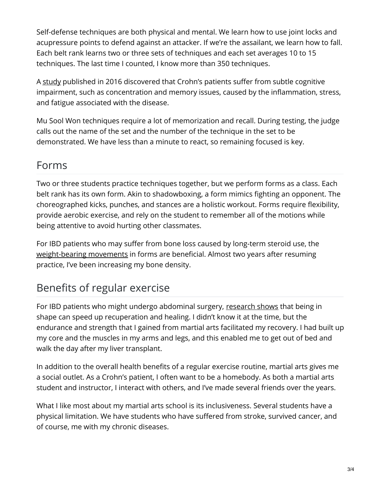Self-defense techniques are both physical and mental. We learn how to use joint locks and acupressure points to defend against an attacker. If we're the assailant, we learn how to fall. Each belt rank learns two or three sets of techniques and each set averages 10 to 15 techniques. The last time I counted, I know more than 350 techniques.

A [study](https://www.ncbi.nlm.nih.gov/pmc/articles/PMC5446137/) published in 2016 discovered that Crohn's patients suffer from subtle cognitive impairment, such as concentration and memory issues, caused by the inflammation, stress, and fatigue associated with the disease.

Mu Sool Won techniques require a lot of memorization and recall. During testing, the judge calls out the name of the set and the number of the technique in the set to be demonstrated. We have less than a minute to react, so remaining focused is key.

#### Forms

Two or three students practice techniques together, but we perform forms as a class. Each belt rank has its own form. Akin to shadowboxing, a form mimics fighting an opponent. The choreographed kicks, punches, and stances are a holistic workout. Forms require flexibility, provide aerobic exercise, and rely on the student to remember all of the motions while being attentive to avoid hurting other classmates.

For IBD patients who may suffer from bone loss caused by long-term steroid use, the [weight-bearing](https://www.nof.org/preventing-fractures/exercise-to-stay-healthy/weight-bearing/) movements in forms are beneficial. Almost two years after resuming practice, I've been increasing my bone density.

# Benefits of regular exercise

For IBD patients who might undergo abdominal surgery, [research](https://www.ncbi.nlm.nih.gov/pubmed/23121372) shows that being in shape can speed up recuperation and healing. I didn't know it at the time, but the endurance and strength that I gained from martial arts facilitated my recovery. I had built up my core and the muscles in my arms and legs, and this enabled me to get out of bed and walk the day after my liver transplant.

In addition to the overall health benefits of a regular exercise routine, martial arts gives me a social outlet. As a Crohn's patient, I often want to be a homebody. As both a martial arts student and instructor, I interact with others, and I've made several friends over the years.

What I like most about my martial arts school is its inclusiveness. Several students have a physical limitation. We have students who have suffered from stroke, survived cancer, and of course, me with my chronic diseases.